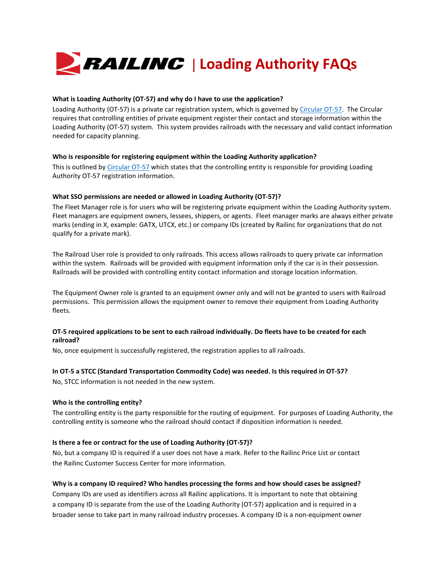

#### **What is Loading Authority (OT-57) and why do I have to use the application?**

Loading Authority (OT-57) is a private car registration system, which is governed b[y Circular OT-57.](https://public.railinc.com/sites/default/files/documents/OT-57.pdf) The Circular requires that controlling entities of private equipment register their contact and storage information within the Loading Authority (OT-57) system. This system provides railroads with the necessary and valid contact information needed for capacity planning.

#### **Who is responsible for registering equipment within the Loading Authority application?**

This is outlined b[y Circular OT-57](https://public.railinc.com/sites/default/files/documents/OT-57.pdf) which states that the controlling entity is responsible for providing Loading Authority OT-57 registration information.

#### **What SSO permissions are needed or allowed in Loading Authority (OT-57)?**

The Fleet Manager role is for users who will be registering private equipment within the Loading Authority system. Fleet managers are equipment owners, lessees, shippers, or agents. Fleet manager marks are always either private marks (ending in X, example: GATX, UTCX, etc.) or company IDs (created by Railinc for organizations that do not qualify for a private mark).

The Railroad User role is provided to only railroads. This access allows railroads to query private car information within the system. Railroads will be provided with equipment information only if the car is in their possession. Railroads will be provided with controlling entity contact information and storage location information.

The Equipment Owner role is granted to an equipment owner only and will not be granted to users with Railroad permissions. This permission allows the equipment owner to remove their equipment from Loading Authority fleets.

# **OT-5 required applications to be sent to each railroad individually. Do fleets have to be created for each railroad?**

No, once equipment is successfully registered, the registration applies to all railroads.

# **In OT-5 a STCC (Standard Transportation Commodity Code) was needed. Is this required in OT-57?**

No, STCC information is not needed in the new system.

# **Who is the controlling entity?**

The controlling entity is the party responsible for the routing of equipment. For purposes of Loading Authority, the controlling entity is someone who the railroad should contact if disposition information is needed.

# **Is there a fee or contract for the use of Loading Authority (OT-57)?**

No, but a company ID is required if a user does not have a mark. Refer to the Railinc Price List or contact the Railinc Customer Success Center for more information.

# **Why is a company ID required? Who handles processing the forms and how should cases be assigned?**

Company IDs are used as identifiers across all Railinc applications. It is important to note that obtaining a company ID is separate from the use of the Loading Authority (OT-57) application and is required in a broader sense to take part in many railroad industry processes. A company ID is a non-equipment owner